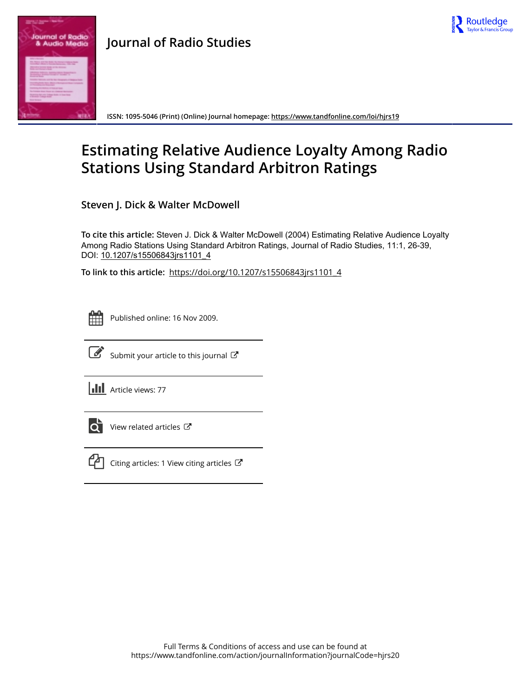

# **Journal of Radio Studies**



**ISSN: 1095-5046 (Print) (Online) Journal homepage:<https://www.tandfonline.com/loi/hjrs19>**

# **Estimating Relative Audience Loyalty Among Radio Stations Using Standard Arbitron Ratings**

**Steven J. Dick & Walter McDowell**

**To cite this article:** Steven J. Dick & Walter McDowell (2004) Estimating Relative Audience Loyalty Among Radio Stations Using Standard Arbitron Ratings, Journal of Radio Studies, 11:1, 26-39, DOI: [10.1207/s15506843jrs1101\\_4](https://www.tandfonline.com/action/showCitFormats?doi=10.1207/s15506843jrs1101_4)

**To link to this article:** [https://doi.org/10.1207/s15506843jrs1101\\_4](https://doi.org/10.1207/s15506843jrs1101_4)



Published online: 16 Nov 2009.



 $\overrightarrow{S}$  [Submit your article to this journal](https://www.tandfonline.com/action/authorSubmission?journalCode=hjrs20&show=instructions)  $\overrightarrow{S}$ 

**III** Article views: 77



 $\overrightarrow{O}$  [View related articles](https://www.tandfonline.com/doi/mlt/10.1207/s15506843jrs1101_4)  $\overrightarrow{C}$ 



 $\mathbb{C}$  [Citing articles: 1 View citing articles](https://www.tandfonline.com/doi/citedby/10.1207/s15506843jrs1101_4#tabModule)  $\mathbb{C}$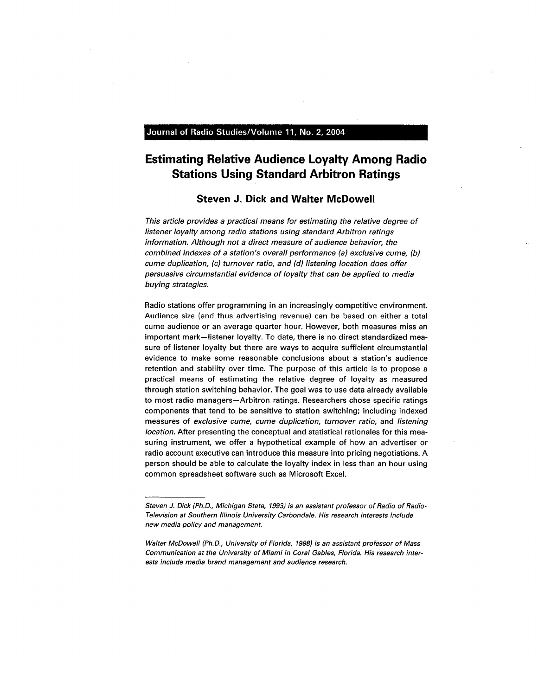## **Estimating Relative Audience Loyalty Among Radio Stations Using Standard Arbitron Ratings**

### **Steven J. Dick and Walter McDowell**

*This article provides a practical means for estimating the relative degree of listener loyalty among radio stations using standard Arbitron ratings information. Although not a direct measure of audience behavior, the combined indexes of a station's overall performance (a) exclusive cume, (b) cume duplication, (c) turnover ratio, and (d) listening location does offer persuasive circumstantial evidence of loyalty that can be applied to media buying strategies.* 

Radio stations offer programming in an increasingly competitive environment. Audience size (and thus advertising revenue) can be based on either a total cume audience or an average quarter hour. However, both measures miss an important mark-listener loyalty. To date, there is no direct standardized measure of listener loyalty but there are ways to acquire sufficient circumstantial evidence to make some reasonable conclusions about a station's audience retention and stability over time. The purpose of this article is to propose a practical means of estimating the relative degree of loyalty as measured through station switching behavior. The goal was to use data already available to most radio managers-Arbitron ratings. Researchers chose specific ratings components that tend to be sensitive to station switching; including indexed measures of *exclusive cume, cume duplication, turnover ratio,* and *listening location.* After presenting the conceptual and statistical rationales for this measuring instrument, we offer a hypothetical example of how an advertiser or radio account executive can introduce this measure into pricing negotiations. A person should be able to calculate the loyalty index in less than an hour using common spreadsheet software such as Microsoft Excel.

*Steven J. Dick (Ph.D., Michigan State, 1993) is an assistant professor of Radio of Radio-Television at Southern Illinois University Carbondale. His research interests include new media policy and management.* 

*Walter McDowell (Ph.D., University of Florida, 1998) is an assistant professor of Mass Communication at the University of Miami in Coral Gables, Florida. His research interests include media brand management and audience research.*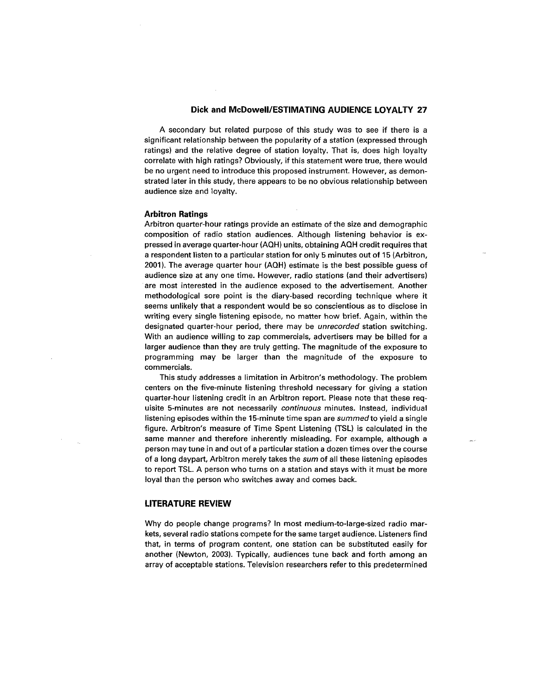**A** secondary but related purpose of this study was to see if there is a significant relationship between the popularity of a station (expressed through ratings) and the relative degree of station loyalty. That is, does high loyalty correlate with high ratings? Obviously, if this statement were true, there would be no urgent need to introduce this proposed instrument. However, as demonstrated later in this study, there appears to be no obvious relationship between audience size and loyalty.

#### **Arbitron Ratings**

Arbitron quarter-hour ratings provide an estimate of the size and demographic composition of radio station audiences. Although listening behavior is expressed in average quarter-hour (AQH) units, obtaining AQH credit requires that a respondent listen to a particular station for only 5 minutes out **of** 15 (Arbitron, 2001). The average quarter hour (AQH) estimate is the best possible guess of audience size at any one time. However, radio stations (and their advertisers) are most interested in the audience exposed to the advertisement. Another methodological sore point is the diary-based recording technique where it seems unlikely that a respondent would be **so** conscientious as to disclose in writing every single listening episode, no matter **how** brief. Again, within the designated quarter-hour period, there may be unrecorded station switching. With an audience willing to zap commercials, advertisers may be billed for a larger audience than they are truly getting. The magnitude of the exposure to programming may be larger than the magnitude of the exposure to commercials.

This study addresses a limitation in Arbitron's methodology. The problem centers on the five-minute listening threshold necessary for giving a station quarter-hour listening credit in an Arbitron report. Please note that these requisite 5-minutes are not necessarily continuous minutes. Instead, individual listening episodes within the 15-minute time span are summed to yield a single figure. Arbitron's measure of Time Spent Listening (TSL) is calculated in the same manner and therefore inherently misleading. For example, although a person may tune in and out of a particular station a dozen times over the course **of** a long daypart, Arbitron merely takes the *sum* of all these listening episodes to report TSL. **A** person who turns on a station and stays with it must be more loyal than the person who switches away and comes back.

#### **LITERATURE REVIEW**

Why do people change programs? In most medium-to-large-sized radio markets, several radio stations compete for the same target audience. Listeners find that, in terms of program content, one station can be substituted easily for another (Newton, 2003). Typically, audiences tune back and forth among an array of acceptable stations. Television researchers refer to this predetermined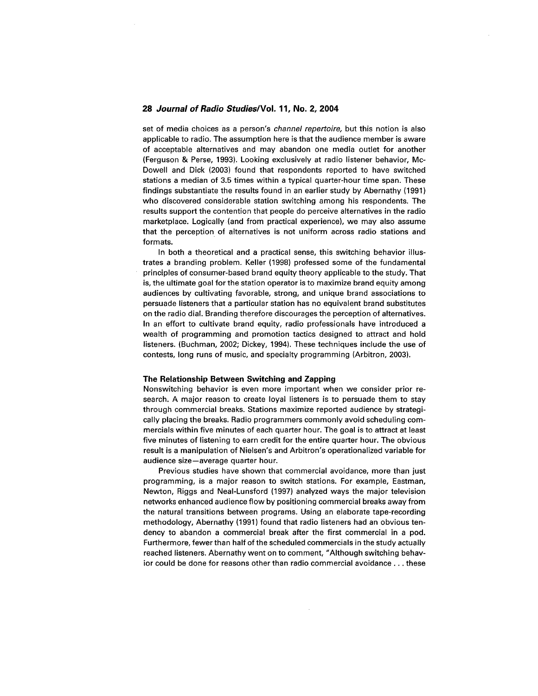#### *28 Journal of Radio SfudiesIVol.* **11, No. 2,2004**

set of media choices as a person's *channel repertoire,* but this notion is also applicable to radio. The assumption here is that the audience member is aware of acceptable alternatives and may abandon one media outlet for another (Ferguson & Perse, 1993). Looking exclusively at radio listener behavior, Mc-Dowell and Dick (2003) found that respondents reported to have switched stations a median of 3.5 times within a typical quarter-hour time span. These findings substantiate the results found in an earlier study by Abernathy (1991) who discovered considerable station switching among his respondents. The results support the contention that people do perceive alternatives in the radio marketplace. Logically (and from practical experience), we may also assume that the perception of alternatives is not uniform across radio stations and formats.

In both a theoretical and a practical sense, this switching behavior illustrates a branding problem. Keller (1998) professed some of the fundamental principles of consumer-based brand equity theory applicable to the study. That is, the ultimate goal for the station operator is to maximize brand equity among audiences by cultivating favorable, strong, and unique brand associations to persuade listeners that a particular station has no equivalent brand substitutes on the radio dial. Branding therefore discourages the perception of alternatives. In an effort to cultivate brand equity, radio professionals have introduced a wealth of programming and promotion tactics designed to attract and hold listeners. (Buchman, 2002; Dickey, 1994). These techniques include the use of contests, long runs of music, and specialty programming (Arbitron, 2003).

#### **The Relationship Between Switching and Zapping**

Nonswitching behavior is even more important when we consider prior research. A major reason to create loyal listeners is to persuade them to stay through commercial breaks. Stations maximize reported audience by strategically placing the breaks. Radio programmers commonly avoid scheduling commercials within five minutes of each quarter hour. The goal is to attract at least five minutes of listening to earn credit for the entire quarter hour. The obvious result is a manipulation of Nielsen's and Arbitron's operationalized variable for audience size-average quarter hour.

Previous studies have shown that commercial avoidance, more than just programming, is a major reason to switch stations. For example, Eastman, Newton, Riggs and Neal-Lunsford (1997) analyzed ways the major television networks enhanced audience flow by positioning commercial breaks away from the natural transitions between programs. Using an elaborate tape-recording methodology, Abernathy (1991) found that radio listeners had an obvious tendency to abandon a commercial break after the first commercial in a pod. Furthermore, fewer than half of the scheduled commercials in the study actually reached listeners. Abernathy went on to comment, "Although switching behavior could be done for reasons other than radio commercial avoidance. . . these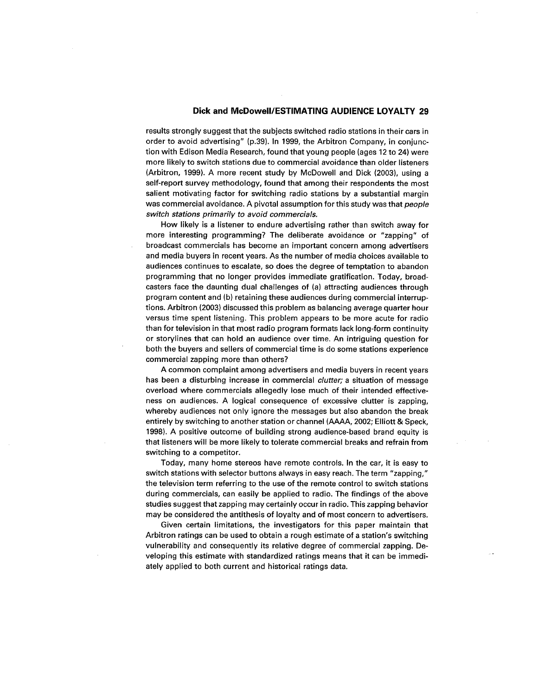results strongly suggest that the subjects switched radio stations in their cars in order to avoid advertising" (p.39). In 1999, the Arbitron Company, in conjunction with Edison Media Research, found that young people (ages 12 to 24) were more likely to switch stations due to commercial avoidance than older listeners (Arbitron, 1999). A more recent study by McDowell and Dick (2003), using a self-report survey methodology, found that among their respondents the most salient motivating factor for switching radio stations by a substantial margin was commercial avoidance. A pivotal assumption for this study was that *people switch stations primarily to avoid commercials.* 

How likely is a listener to endure advertising rather than switch away for more interesting programming? The deliberate avoidance or "zapping" of broadcast commercials has become an important concern among advertisers and media buyers in recent years. As the number of media choices available to audiences continues to escalate, so does the degree of temptation to abandon programming that no longer provides immediate gratification. Today, broadcasters face the daunting dual challenges of (a) attracting audiences through program content and (b) retaining these audiences during commercial interruptions. Arbitron (2003) discussed this problem as balancing average quarter hour versus time spent listening. This problem appears to be more acute for radio than for television in that most radio program formats lack long-form continuity or storylines that can hold an audience over time. An intriguing question for both the buyers and sellers of commercial time is do some stations experience commercial zapping more than others?

A common complaint among advertisers and media buyers in recent years has been a disturbing increase in commercial *clutter;* a situation of message overload where commercials allegedly lose much of their intended effectiveness on audiences. A logical consequence of excessive clutter is zapping, whereby audiences not only ignore the messages but also abandon the break entirely by switching to another station or channel (AAAA, 2002; Elliott & Speck, 1998). A positive outcome of building strong audience-based brand equity is that listeners will be more likely to tolerate commercial breaks and refrain from switching to a competitor.

Today, many home stereos have remote controls. In the car, it is easy to switch stations with selector buttons always in easy reach. The term "zapping," the television term referring to the use of the remote control to switch stations during commercials, can easily be applied to radio. The findings of the above studies suggest that zapping may certainly occur in radio. This zapping behavior may be considered the antithesis of loyalty and of most concern to advertisers.

Given certain limitations, the investigators for this paper maintain that Arbitron ratings can be used to obtain a rough estimate of a station's switching vulnerability and consequently its relative degree of commercial zapping. Developing this estimate with standardized ratings means that it can be immediately applied to both current and historical ratings data.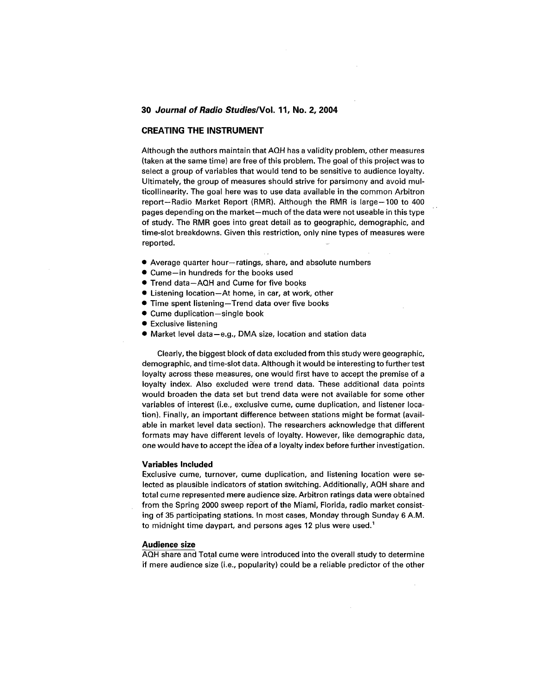#### **30 Journal** *of* **Radio StudiedVol. 11, No. 2,2004**

#### **CREATING THE INSTRUMENT**

Although the authors maintain that AQH has a validity problem, other measures (taken at the same time) are free of this problem. The goal of this project was to select a group of variables that would tend to be sensitive to audience loyalty. Ultimately, the group of measures should strive for parsimony and avoid multicollinearity. The goal here was to use data available in the common Arbitron report-Radio Market Report (RMR). Although the RMR is large-100 to 400 pages depending on the market-much of the data were not useable in this type of study. The RMR goes into great detail as to geographic, demographic, and time-slot breakdowns. Given this restriction, only nine types of measures were reported.

- *0* Average quarter hour-ratings, share, and absolute numbers
- Cume-in hundreds for the books used
- Trend data-AQH and Cume for five books
- *0* Listening location-At home, in car, at work, other
- Time spent listening-Trend data over five books
- Cume duplication-single book
- Exclusive listening
- Market level data-e.g., DMA size, location and station data

Clearly, the biggest block of data excluded from this study were geographic, demographic, and time-slot data. Although it would be interesting to further test loyalty across these measures, one would first have to accept the premise of a loyalty index. Also excluded were trend data. These additional data points would broaden the data set but trend data were not available for some other variables of interest (i.e., exclusive cume, cume duplication, and listener location). Finally, an important difference between stations might be format (available in market level data section). The researchers acknowledge that different formats may have different levels of loyalty. However, like demographic data, one would have **to** accept the idea of a loyalty index before further investigation.

#### **Variables Included**

Exclusive cume, turnover, cume duplication, and listening location were selected as plausible indicators of station switching. Additionally, AQH share and total cume represented mere audience size. Arbitron ratings data were obtained from the Spring 2000 sweep report of the Miami, Florida, radio market consisting of 35 participating stations. In most cases, Monday through Sunday **6** A.M. to midnight time daypart, and persons ages **12** plus were used.'

#### **Audience size**

AQH share and Total cume were introduced into the overall study to determine if mere audience size (i.e., popularity) could be a reliable predictor of the other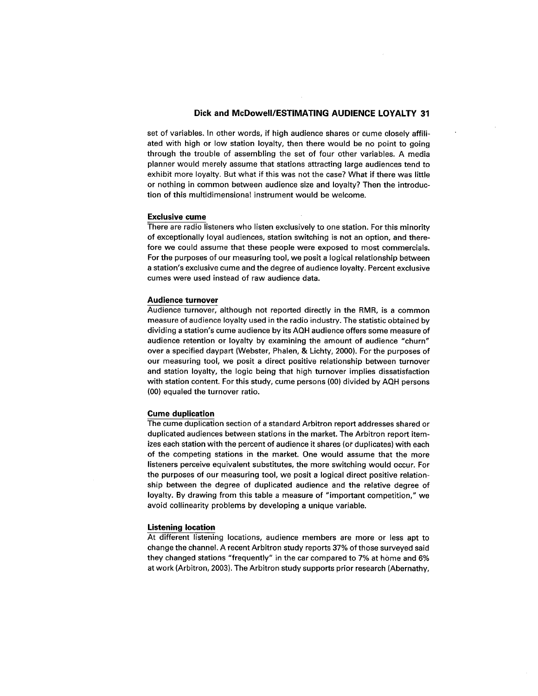set of variables. In other words, if high audience shares or cume closely affiliated with high or low station loyalty, then there would be no point to going through the trouble of assembling the set of four other variables. A media planner would merely assume that stations attracting large audiences tend to exhibit more loyalty. But what if this was not the case? What if there was little or nothing in common between audience size and loyalty? Then the introduction of this multidimensional instrument would be welcome.

#### **Exclusive cume**

There are radio listeners who listen exclusively to one station. For this minority of exceptionally loyal audiences, station switching is not an option, and therefore we could assume that these people were exposed to most commercials. For the purposes of our measuring tool, we posit a logical relationship between a station's exclusive cume and the degree of audience loyalty. Percent exclusive cumes were used instead of raw audience data.

#### **Audience turnover**

Audience turnover, although not reported directly in the RMR, is a common measure of audience loyalty used in the radio industry. The statistic obtained by dividing a station's cume audience by its AQH audience offers some measure of audience retention or loyalty by examining the amount of audience "churn" over a specified daypart (Webster, Phalen, & Lichty, 2000). For the purposes of our measuring tool, we posit a direct positive relationship between turnover and station loyalty, the logic being that high turnover implies dissatisfaction with station content. For this study, cume persons (00) divided by AQH persons (00) equaled the turnover ratio.

#### **Cume duplication**

The cume duplication section of a standard Arbitron report addresses shared or duplicated audiences between stations in the market. The Arbitron report itemizes each station with the percent of audience it shares (or duplicates) with each of the competing stations in the market. One would assume that the more listeners perceive equivalent substitutes, the more switching would occur. For the purposes of our measuring tool, we posit a logical direct positive relationship between the degree of duplicated audience and the relative degree of loyalty. By drawing from this table a measure of "important competition," we avoid collinearity problems by developing a unique variable.

#### **Listening location**

At different listening locations, audience members are more or less apt to change the channel. A recent Arbitron study reports 37% of those surveyed said they changed stations "frequently" in the car compared to 7% at home and 6% at work (Arbitron, 2003). The Arbitron study supports prior research (Abernathy,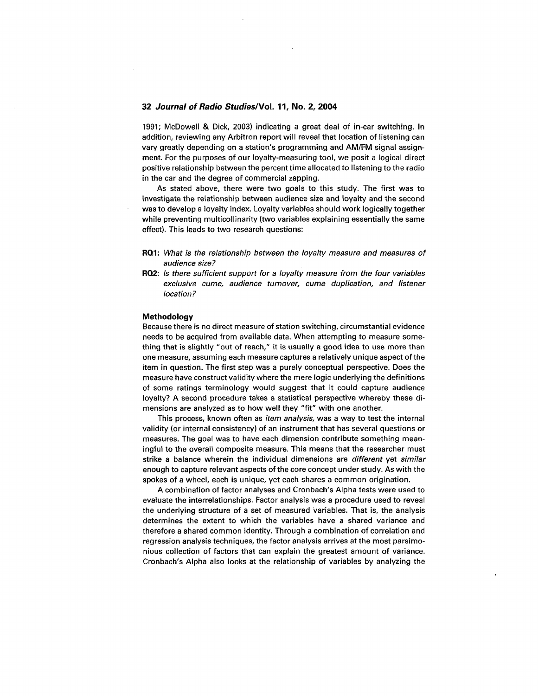#### *32 Journal of Radio StudiesIVol.* **11, No. 2,2004**

1991; McDowell & Dick, 2003) indicating a great deal of in-car switching. In addition, reviewing any Arbitron report will reveal that location of listening can vary greatly depending on a station's programming **and** AMlFM signal assignment. For the purposes of our loyalty-measuring tool, we posit a logical direct positive relationship between the percent time allocated to listening to the radio in the car and the degree of commercial zapping.

As stated above, there were two goals to this study. The first was to investigate the relationship between audience size and loyalty and the second was to develop a loyalty index. Loyalty variables should work logically together while preventing multicollinarity (two variables explaining essentially the same effect). This leads to two research questions:

- **RQI:** *What is the relationship between the loyalty measure and measures of audience size?*
- **RQ2:** *Is there sufficient support for a loyalty measure from the four variables exclusive cume, audience turnover, cume duplication, and listener location* ?

#### **Methodology**

Because there is no direct measure of station switching, circumstantial evidence needs to be acquired from available data. When attempting to measure something that is slightly "out of reach," it is usually a good idea to use more than one measure, assuming each measure captures a relatively unique aspect of the item in question. The first step was a purely conceptual perspective. Does the measure have construct validity where the mere logic underlying the definitions of some ratings terminology would suggest that it could capture audience loyalty? **A** second procedure takes a statistical perspective whereby these dimensions are analyzed as to how well they "fit" with one another.

This process, known often as *item analysis,* was a way to test the internal validity (or internal consistency) of an instrument that has several questions or measures, The goal was to have each dimension contribute something meaningful to the overall composite measure. This means that the researcher must strike a balance wherein the individual dimensions are *different* yet *similar*  enough to capture relevant aspects of the core concept under study. As with the spokes of a wheel, each is unique, yet each shares a common origination.

A combination of factor analyses and Cronbach's Alpha tests were used to evaluate the interrelationships. Factor analysis was a procedure used to reveal the underlying structure of a set of measured variables. That is, the analysis determines the extent to which the variables have a shared variance and therefore a shared common identity. Through a combination of correlation and regression analysis techniques, the factor analysis arrives at the most parsimonious collection of factors that can explain the greatest amount of variance. Cronbach's Alpha also looks at the relationship of variables by analyzing the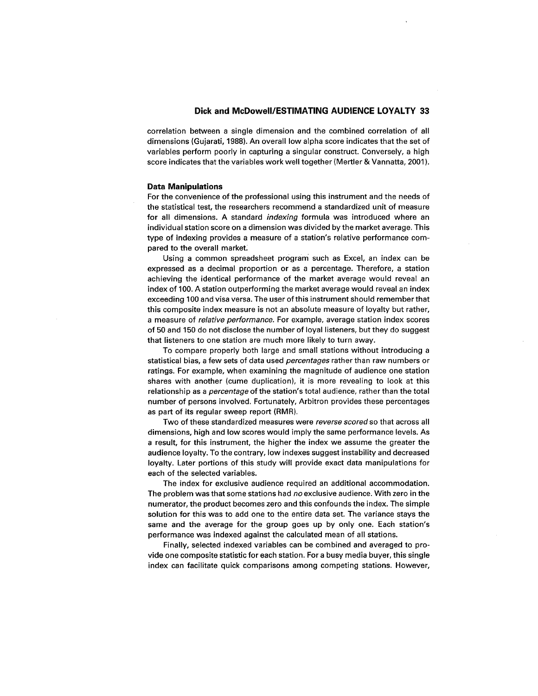correlation between a single dimension and the combined correlation of all dimensions (Gujarati, 1988). An overall low alpha score indicates that the set of variables perform poorly in capturing a singular construct. Conversely, a high score indicates that the variables work well together (Mertler & Vannatta, 2001).

#### **Data Manipulations**

For the convenience of the professional using this instrument and the needs of the statistical test, the researchers recommend a standardized unit of measure for all dimensions. **A** standard *indexing* formula was introduced where an individual station score on a dimension was divided by the market average. This type of indexing provides a measure of a station's relative performance compared to the overall market.

Using a common spreadsheet program such as Excel, an index can be expressed as a decimal proportion or as a percentage. Therefore, a station achieving the identical performance of the market average would reveal an index of 100. **A** station outperforming the market average would reveal an index exceeding 100 and visa versa. The user of this instrument should remember that this composite index measure is not an absolute measure of loyalty but rather, a measure of *relative performance.* For example, average station index scores of 50 and 150 do not disclose the number of loyal listeners, but they do suggest that listeners to one station are much more likely to turn away.

To compare properly both large and small stations without introducing a statistical bias, a few sets of data used *percentages* rather than raw numbers or ratings. For example, when examining the magnitude of audience one station shares with another (cume duplication), it is more revealing to look at this relationship as a *percentage* of the station's total audience, rather than the total number of persons involved. Fortunately, Arbitron provides these percentages as part of its regular sweep report **(RMR).** 

Two of these standardized measures were *reverse scored* so that across all dimensions, high and low scores would imply the same performance levels. As a result, for this instrument, the higher the index we assume the greater the audience loyalty. To the contrary, low indexes suggest instability and decreased loyalty. Later portions of this study will provide exact data manipulations for each of the selected variables.

The index for exclusive audience required an additional accommodation. The problem was that some stations had *no* exclusive audience. With zero in the numerator, the product becomes zero and this confounds the index. The simple solution for this was to add one to the entire data set. The variance stays the same and the average for the group goes up by only one. Each station's performance was indexed against the calculated mean of all stations.

Finally, selected indexed variables can be combined and averaged to provide one composite statistic for each station. For a busy media buyer, this single index can facilitate quick comparisons among competing stations. However,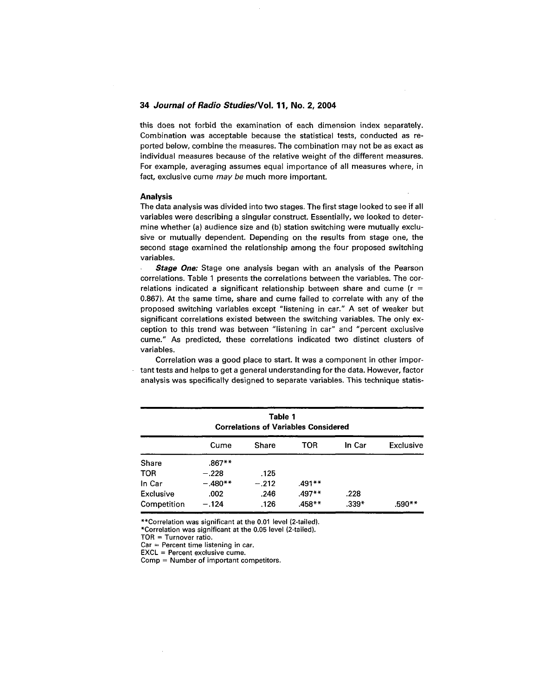#### **34** *Journal of Radio SfudiesIVol.* **11, No.** *2,* **2004**

this does not forbid the examination of each dimension index separately. Combination was acceptable because the statistical tests, conducted as reported below, combine the measures. The combination may not be as exact as individual measures because of the relative weight *of* the different measures. For example, averaging assumes equal importance of all measures where, in fact, exclusive cume *may be* much more important.

#### **Analysis**

The data analysis was divided into two stages. The first stage looked to see if all variables were describing a singular construct. Essentially, we looked to determine whether (a) audience size and (b) station switching were mutually exclusive or mutually dependent. Depending on the results from stage one, the second stage examined the relationship among the four proposed switching variables.

. *Stage One:* Stage one analysis began with an analysis of the Pearson correlations. Table **1** presents the correlations between the variables. The correlations indicated a significant relationship between share and cume  $(r =$ **0.867).** At the same time, share and cume failed to correlate with any of the proposed switching variables except "listening in car." **A** set of weaker but significant correlations existed between the switching variables. The only exception to this trend was between "listening in car" and "percent exclusive cume." As predicted, these correlations indicated two distinct clusters of variables.

Correlation was a good place to start. It was a component in other impor- . tant tests and helps to get a general understanding for the data. However, factor analysis was specifically designed to separate variables. This technique statis-

|             | Table 1<br><b>Correlations of Variables Considered</b> |              |          |        |           |  |  |  |
|-------------|--------------------------------------------------------|--------------|----------|--------|-----------|--|--|--|
|             | Cume                                                   | <b>Share</b> | TOR      | In Car | Exclusive |  |  |  |
| Share       | .867**                                                 |              |          |        |           |  |  |  |
| TOR         | $-.228$                                                | .125         |          |        |           |  |  |  |
| In Car      | $-.480**$                                              | $-.212$      | $.491**$ |        |           |  |  |  |
| Exclusive   | .002                                                   | .246         | $.497**$ | .228   |           |  |  |  |
| Competition | $-.124$                                                | .126         | .458**   | .339*  | $.590**$  |  |  |  |

\*\*Correlation was significant at the **0.01** level (2-tailed).

\*Correlation was significant at the **0.05** level (2-tailed).

**TOR** = Turnover ratio.

 $Car = Percent time listening in car.$ 

EXCL = Percent exclusive cume.

Comp = Number of important competitors.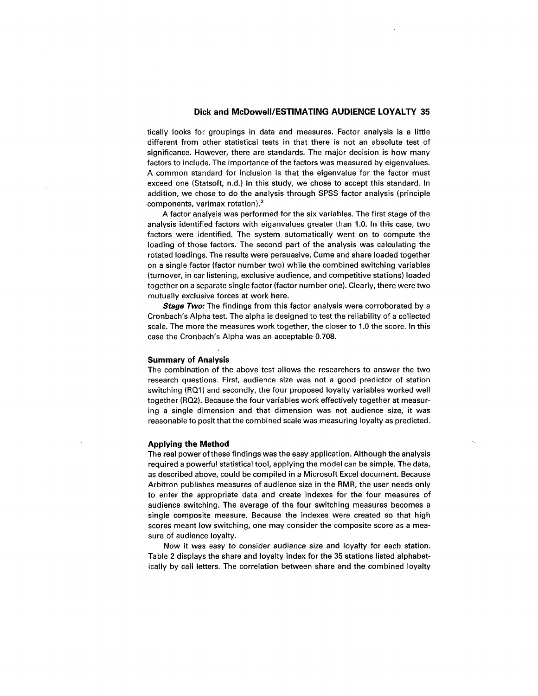tically looks for groupings in data and measures. Factor analysis is a little different from other statistical tests in that there is not an absolute test of significance. However, there are standards. The major decision is how many factors to include. The importance of the factors was measured by eigenvalues. A common standard for inclusion is that the eigenvalue for the factor must exceed one (Statsoft, n.d.) In this study, we chose to accept this standard. In addition, we chose to do the analysis through SPSS factor analysis (principle components, varimax rotation). $<sup>2</sup>$ </sup>

A factor analysis was performed for the six variables. The first stage of the analysis identified factors with eiganvalues greater than 1.0. In this case, two factors were identified. The system automatically went on to compute the loading of those factors. The second part of the analysis was calculating the rotated loadings. The results were persuasive. Cume and share loaded together on a single factor (factor number two) while the combined switching variables (turnover, in car listening, exclusive audience, and competitive stations) loaded together on a separate single factor (factor number one). Clearly, there were two mutually exclusive forces at work here.

Stage *Two:* The findings from this factor analysis were corroborated by a Cronbach's Alpha test. The alpha is designed to test the reliability of a collected scale. The more the measures work together, the closer to 1 *.O* the score. In this case the Cronbach's Alpha was an acceptable 0.708.

#### **Summary of Analysis**

The combination of the above test allows the researchers to answer the two research questions. First, audience size was not a good predictor of station switching (RQI) and secondly, the four proposed loyalty variables worked well together (RQ2). Because the four variables work effectively together at measuring a single dimension and that dimension was not audience size, it was reasonable to posit that the combined scale was measuring loyalty as predicted.

#### **Applying the Method**

The real power of these findings was the easy application. Although the analysis required a powerful statistical tool, applying the model can be simple. The data, as described above, could be compiled in a Microsoft Excel document. Because Arbitron publishes measures of audience size in the RMR, the user needs only to enter the appropriate data and create indexes for the four measures of audience switching. The average of the four switching measures becomes a single composite measure. Because the indexes were created *so* that high scores meant low switching, one may consider the composite score as a measure of audience loyalty.

Now it was easy to consider audience size and loyalty for each station. Table 2 displays the share and loyalty index for the 35 stations listed alphabetically by call letters. The correlation between share and the combined loyalty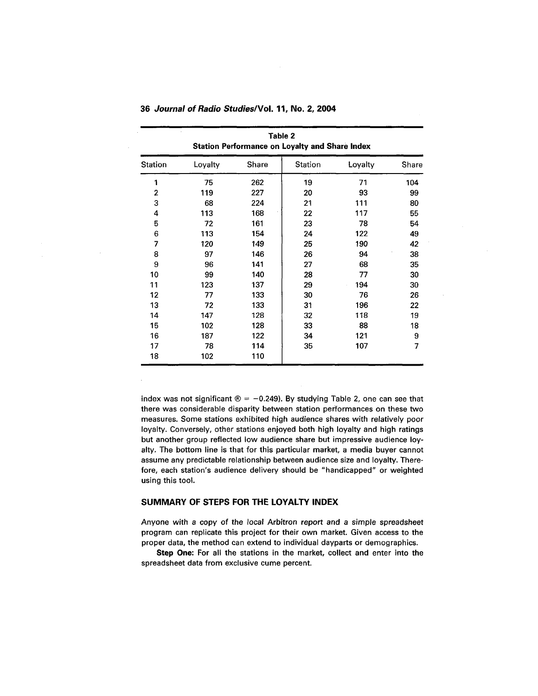| Table 2<br><b>Station Performance on Loyalty and Share Index</b> |         |       |         |         |       |  |  |  |  |
|------------------------------------------------------------------|---------|-------|---------|---------|-------|--|--|--|--|
| <b>Station</b>                                                   | Loyalty | Share | Station | Loyalty | Share |  |  |  |  |
| 1                                                                | 75      | 262   | 19      | 71      | 104   |  |  |  |  |
| 2                                                                | 119     | 227   | 20      | 93      | 99    |  |  |  |  |
| 3                                                                | 68      | 224   | 21      | 111     | 80    |  |  |  |  |
| 4                                                                | 113     | 168   | 22      | 117     | 55    |  |  |  |  |
| 5                                                                | 72      | 161   | 23      | 78      | 54    |  |  |  |  |
| 6                                                                | 113     | 154   | 24      | 122     | 49    |  |  |  |  |
| 7                                                                | 120     | 149   | 25      | 190     | 42    |  |  |  |  |
| 8                                                                | 97      | 146   | 26      | 94      | 38    |  |  |  |  |
| 9                                                                | 96      | 141   | 27      | 68      | 35    |  |  |  |  |
| 10                                                               | 99      | 140   | 28      | 77      | 30    |  |  |  |  |
| 11                                                               | 123     | 137   | 29      | 194     | 30    |  |  |  |  |
| 12                                                               | 77      | 133   | 30      | 76      | 26    |  |  |  |  |
| 13                                                               | 72      | 133   | 31      | 196     | 22    |  |  |  |  |
| 14                                                               | 147     | 128   | 32      | 118     | 19    |  |  |  |  |
| 15                                                               | 102     | 128   | 33      | 88      | 18    |  |  |  |  |
| 16                                                               | 187     | 122   | 34      | 121     | 9     |  |  |  |  |
| 17                                                               | 78      | 114   | 35      | 107     | 7     |  |  |  |  |
| 18                                                               | 102     | 110   |         |         |       |  |  |  |  |

#### *36 Journal of Radio StudiesfVol.* **11, No.** *2,* **2004**

index was not significant  $\mathcal{B} = -0.249$ ). By studying Table 2, one can see that there was considerable disparity between station performances on these **two**  measures. Some stations exhibited high audience shares with relatively poor loyalty. Conversely, other stations enjoyed both high loyalty and high ratings but another group reflected low audience share but impressive audience loyalty. The bottom line is that for this particular market, a media buyer cannot assume any predictable relationship between audience size and loyalty. Therefore, each station's audience delivery should be "handicapped" or weighted using this tool.

#### **SUMMARY OF STEPS FOR THE LOYALTY INDEX**

Anyone with a copy of the local Arbitron report and a simple spreadsheet program can replicate this project for their own market. Given access to the proper data, the method can extend to individual dayparts or demographics.

**Step** One: For all the stations in the market, collect and enter into the spreadsheet data from exclusive cume percent.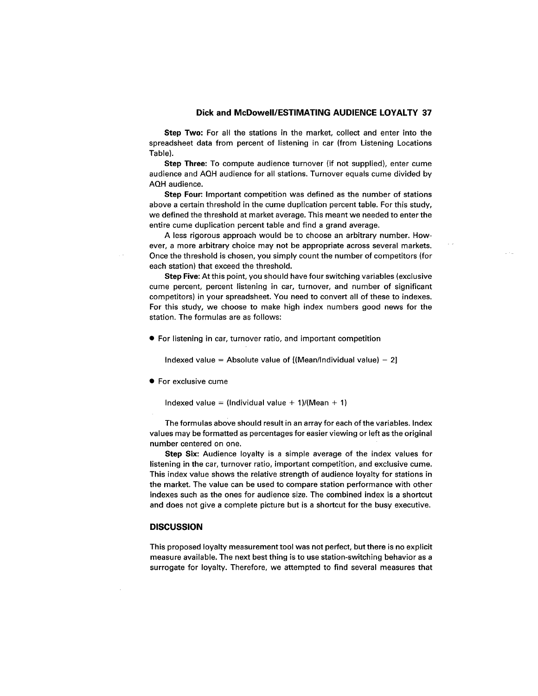**Step Two:** For all the stations in the market, collect and enter into the spreadsheet data from percent of listening in car (from Listening Locations Table).

**Step Three:** To compute audience turnover (if not supplied), enter cume audience and AQH audience for all stations. Turnover equals cume divided by AQH audience.

**Step Four:** Important competition was defined as the number of stations above a certain threshold in the cume duplication percent table. For this study, we defined the threshold at market average. This meant we needed to enter the entire cume duplication percent table and find a grand average.

A less rigorous approach would be to choose an arbitrary number. However, a more arbitrary choice may not be appropriate across several markets. Once the threshold is chosen, you simply count the number of competitors (for each station) that exceed the threshold.

**Step Five:** At this point, you should have four switching variables (exclusive cume percent, percent listening in car, turnover, and number of significant competitors) in your spreadsheet. You need to convert all of these to indexes. For this study, we choose to make high index numbers good news for the station. The formulas are as follows:

For listening in car, turnover ratio, and important competition

Indexed value = Absolute value of  $[(Mean/Individual value) - 2]$ 

**•** For exclusive cume

Indexed value = (Individual value  $+ 1$ )/(Mean  $+ 1$ )

The formulas above should result in an array for each of the variables. Index values may be formatted as percentages for easier viewing or left as the original number centered on one.

**Step Six:** Audience loyalty is a simple average of the index values for listening in the car, turnover ratio, important competition, and exclusive cume. This index value shows the relative strength of audience loyalty for stations in the market. The value can be used to compare station performance with other indexes such as the ones for audience size. The combined index is a shortcut and does not give a complete picture but is a shortcut for the busy executive.

#### **DISCUSSION**

This proposed loyalty measurement tool was not perfect, but there is no explicit measure available. The next best thing is to use station-switching behavior as a surrogate for loyalty. Therefore, we attempted to find several measures that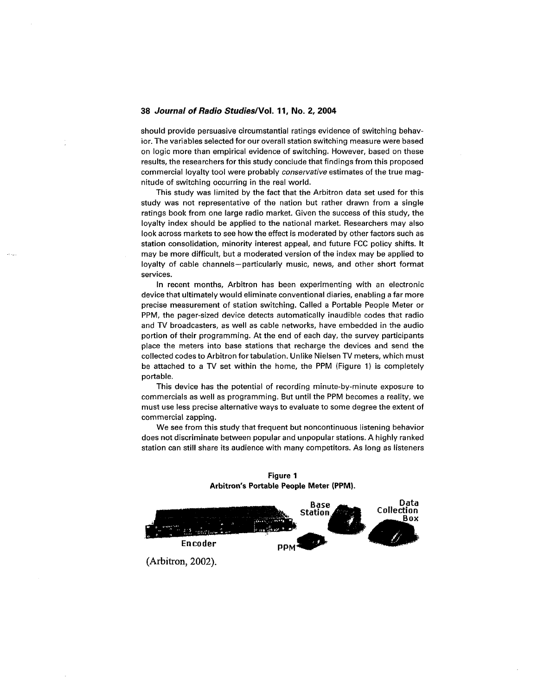#### *38 Journal of Radio StudiesIVol.* **11, No.** *2,* **2004**

should provide persuasive circumstantial ratings evidence of switching behavior. The variables selected for our overall station switching measure were based on logic more than empirical evidence of switching. However, based on these results, the researchers for this study conclude that findings from this proposed commercial loyalty tool were probably *conservative* estimates of the true magnitude of switching occurring in the real world.

This study was limited by the fact that the Arbitron data set used for this study was not representative of the nation but rather drawn from a single ratings book from one large radio market. Given the success of this study, the loyalty index should be applied to the national market. Researchers may also look across markets to see how the effect is moderated by other factors such as station consolidation, minority interest appeal, and future **FCC** policy shifts. It may be more difficult, but a moderated version of the index may be applied to loyalty of cable channels-particularly music, news, and other short format services.

In recent months, Arbitron has been experimenting with an electronic device that ultimately would eliminate conventional diaries, enabling a far more precise measurement of station switching. Called a Portable People Meter or PPM, the pager-sized device detects automatically inaudible codes that radio and *N* broadcasters, as well as cable networks, have embedded in the audio portion of their programming. At the end of each day, the survey participants place the meters into base stations that recharge the devices and send the collected codes to Arbitron for tabulation. Unlike Nielsen TV meters, which must be attached to a TV set within the home, the PPM (Figure **1)** is completely portable.

This device has the potential of recording minute-by-minute exposure to commercials as well as programming. But until the PPM becomes a reality, we must use less precise alternative ways to evaluate to some degree the extent of commercial zapping.

We see from this study that frequent but noncontinuous listening behavior does not discriminate between popular and unpopular stations. A highly ranked station can still share its audience with many competitors. As long as listeners